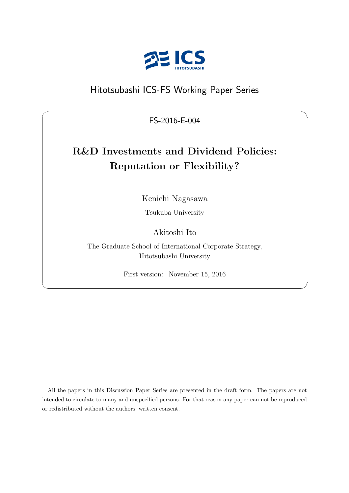

# Hitotsubashi ICS-FS Working Paper Series

FS-2016-E-004

 $\sqrt{2\pi}$ 

# **R&D Investments and Dividend Policies: Reputation or Flexibility?**

Kenichi Nagasawa

Tsukuba University

# Akitoshi Ito

The Graduate School of International Corporate Strategy, Hitotsubashi University

First version: November 15, 2016

✒ ✑

All the papers in this Discussion Paper Series are presented in the draft form. The papers are not intended to circulate to many and unspecified persons. For that reason any paper can not be reproduced or redistributed without the authors' written consent.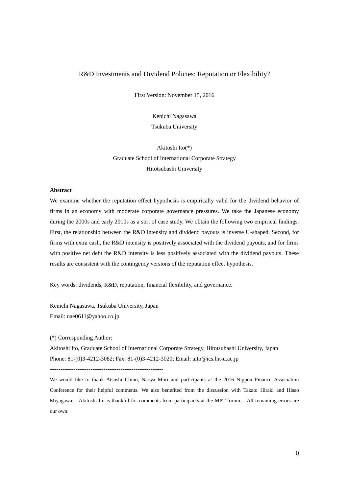#### R&D Investments and Dividend Policies: Reputation or Flexibility?

First Version: November 15, 2016

Kenichi Nagasawa Tsukuba University

Akitoshi Ito(\*) Graduate School of International Corporate Strategy Hitotsubashi University

#### **Abstract**

We examine whether the reputation effect hypothesis is empirically valid for the dividend behavior of firms in an economy with moderate corporate governance pressures. We take the Japanese economy during the 2000s and early 2010s as a sort of case study. We obtain the following two empirical findings. First, the relationship between the R&D intensity and dividend payouts is inverse U-shaped. Second, for firms with extra cash, the R&D intensity is positively associated with the dividend payouts, and for firms with positive net debt the R&D intensity is less positively associated with the dividend payouts. These results are consistent with the contingency versions of the reputation effect hypothesis.

Key words: dividends, R&D, reputation, financial flexibility, and governance.

Kenichi Nagasawa, Tsukuba University, Japan Email: nae0611@yahoo.co.jp

(\*) Corresponding Author:

Akitoshi Ito, Graduate School of International Corporate Strategy, Hitotsubashi University, Japan Phone: 81-(0)3-4212-3082; Fax: 81-(0)3-4212-3020; Email: aito@ics.hit-u.ac.jp

-----------------------------------------------------

We would like to thank Atsushi Chino, Naoya Mori and participants at the 2016 Nippon Finance Association Conference for their helpful comments. We also benefited from the discussion with Takato Hiraki and Hisao Miyagawa. Akitoshi Ito is thankful for comments from participants at the MPT forum. All remaining errors are our own.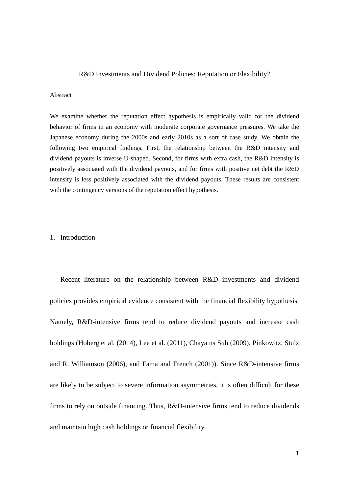#### R&D Investments and Dividend Policies: Reputation or Flexibility?

#### Abstract

We examine whether the reputation effect hypothesis is empirically valid for the dividend behavior of firms in an economy with moderate corporate governance pressures. We take the Japanese economy during the 2000s and early 2010s as a sort of case study. We obtain the following two empirical findings. First, the relationship between the R&D intensity and dividend payouts is inverse U-shaped. Second, for firms with extra cash, the R&D intensity is positively associated with the dividend payouts, and for firms with positive net debt the R&D intensity is less positively associated with the dividend payouts. These results are consistent with the contingency versions of the reputation effect hypothesis.

#### 1. Introduction

Recent literature on the relationship between R&D investments and dividend policies provides empirical evidence consistent with the financial flexibility hypothesis. Namely, R&D-intensive firms tend to reduce dividend payouts and increase cash holdings (Hoberg et al. (2014), Lee et al. (2011), Chaya ns Suh (2009), Pinkowitz, Stulz and R. Williamson (2006), and Fama and French (2001)). Since R&D-intensive firms are likely to be subject to severe information asymmetries, it is often difficult for these firms to rely on outside financing. Thus, R&D-intensive firms tend to reduce dividends and maintain high cash holdings or financial flexibility.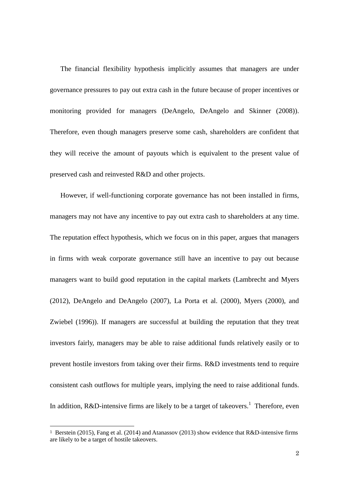The financial flexibility hypothesis implicitly assumes that managers are under governance pressures to pay out extra cash in the future because of proper incentives or monitoring provided for managers (DeAngelo, DeAngelo and Skinner (2008)). Therefore, even though managers preserve some cash, shareholders are confident that they will receive the amount of payouts which is equivalent to the present value of preserved cash and reinvested R&D and other projects.

However, if well-functioning corporate governance has not been installed in firms, managers may not have any incentive to pay out extra cash to shareholders at any time. The reputation effect hypothesis, which we focus on in this paper, argues that managers in firms with weak corporate governance still have an incentive to pay out because managers want to build good reputation in the capital markets (Lambrecht and Myers (2012), DeAngelo and DeAngelo (2007), La Porta et al. (2000), Myers (2000), and Zwiebel (1996)). If managers are successful at building the reputation that they treat investors fairly, managers may be able to raise additional funds relatively easily or to prevent hostile investors from taking over their firms. R&D investments tend to require consistent cash outflows for multiple years, implying the need to raise additional funds. In addition, R&D-intensive firms are likely to be a target of takeovers.<sup>1</sup> Therefore, even

 $\overline{a}$ 

<sup>1</sup> Berstein (2015), Fang et al. (2014) and Atanassov (2013) show evidence that R&D-intensive firms are likely to be a target of hostile takeovers.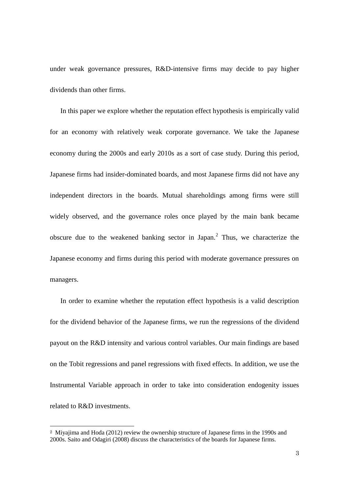under weak governance pressures, R&D-intensive firms may decide to pay higher dividends than other firms.

In this paper we explore whether the reputation effect hypothesis is empirically valid for an economy with relatively weak corporate governance. We take the Japanese economy during the 2000s and early 2010s as a sort of case study. During this period, Japanese firms had insider-dominated boards, and most Japanese firms did not have any independent directors in the boards. Mutual shareholdings among firms were still widely observed, and the governance roles once played by the main bank became obscure due to the weakened banking sector in Japan. $<sup>2</sup>$  Thus, we characterize the</sup> Japanese economy and firms during this period with moderate governance pressures on managers.

In order to examine whether the reputation effect hypothesis is a valid description for the dividend behavior of the Japanese firms, we run the regressions of the dividend payout on the R&D intensity and various control variables. Our main findings are based on the Tobit regressions and panel regressions with fixed effects. In addition, we use the Instrumental Variable approach in order to take into consideration endogenity issues related to R&D investments.

 $\overline{a}$ 

<sup>2</sup> Miyajima and Hoda (2012) review the ownership structure of Japanese firms in the 1990s and 2000s. Saito and Odagiri (2008) discuss the characteristics of the boards for Japanese firms.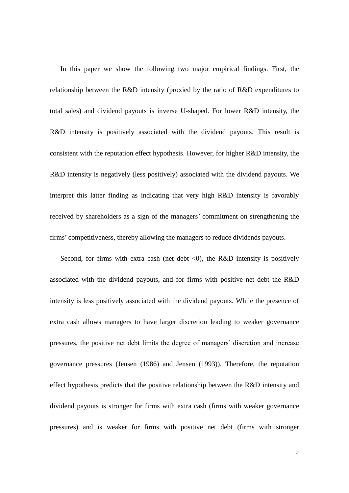In this paper we show the following two major empirical findings. First, the relationship between the R&D intensity (proxied by the ratio of R&D expenditures to total sales) and dividend payouts is inverse U-shaped. For lower R&D intensity, the R&D intensity is positively associated with the dividend payouts. This result is consistent with the reputation effect hypothesis. However, for higher R&D intensity, the R&D intensity is negatively (less positively) associated with the dividend payouts. We interpret this latter finding as indicating that very high R&D intensity is favorably received by shareholders as a sign of the managers' commitment on strengthening the firms' competitiveness, thereby allowing the managers to reduce dividends payouts.

Second, for firms with extra cash (net debt  $\langle 0 \rangle$ , the R&D intensity is positively associated with the dividend payouts, and for firms with positive net debt the R&D intensity is less positively associated with the dividend payouts. While the presence of extra cash allows managers to have larger discretion leading to weaker governance pressures, the positive net debt limits the degree of managers' discretion and increase governance pressures (Jensen (1986) and Jensen (1993)). Therefore, the reputation effect hypothesis predicts that the positive relationship between the R&D intensity and dividend payouts is stronger for firms with extra cash (firms with weaker governance pressures) and is weaker for firms with positive net debt (firms with stronger

4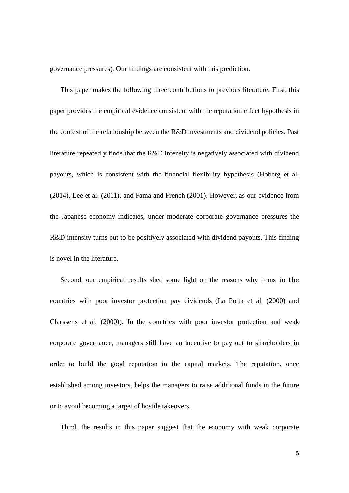governance pressures). Our findings are consistent with this prediction.

This paper makes the following three contributions to previous literature. First, this paper provides the empirical evidence consistent with the reputation effect hypothesis in the context of the relationship between the R&D investments and dividend policies. Past literature repeatedly finds that the R&D intensity is negatively associated with dividend payouts, which is consistent with the financial flexibility hypothesis (Hoberg et al. (2014), Lee et al. (2011), and Fama and French (2001). However, as our evidence from the Japanese economy indicates, under moderate corporate governance pressures the R&D intensity turns out to be positively associated with dividend payouts. This finding is novel in the literature.

Second, our empirical results shed some light on the reasons why firms in the countries with poor investor protection pay dividends (La Porta et al. (2000) and Claessens et al. (2000)). In the countries with poor investor protection and weak corporate governance, managers still have an incentive to pay out to shareholders in order to build the good reputation in the capital markets. The reputation, once established among investors, helps the managers to raise additional funds in the future or to avoid becoming a target of hostile takeovers.

Third, the results in this paper suggest that the economy with weak corporate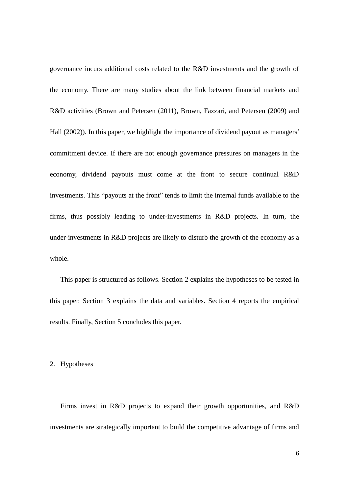governance incurs additional costs related to the R&D investments and the growth of the economy. There are many studies about the link between financial markets and R&D activities (Brown and Petersen (2011), Brown, Fazzari, and Petersen (2009) and Hall (2002)). In this paper, we highlight the importance of dividend payout as managers' commitment device. If there are not enough governance pressures on managers in the economy, dividend payouts must come at the front to secure continual R&D investments. This "payouts at the front" tends to limit the internal funds available to the firms, thus possibly leading to under-investments in R&D projects. In turn, the under-investments in R&D projects are likely to disturb the growth of the economy as a whole.

This paper is structured as follows. Section 2 explains the hypotheses to be tested in this paper. Section 3 explains the data and variables. Section 4 reports the empirical results. Finally, Section 5 concludes this paper.

# 2. Hypotheses

Firms invest in R&D projects to expand their growth opportunities, and R&D investments are strategically important to build the competitive advantage of firms and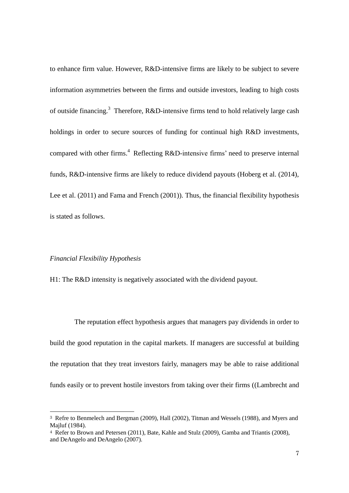to enhance firm value. However, R&D-intensive firms are likely to be subject to severe information asymmetries between the firms and outside investors, leading to high costs of outside financing.<sup>3</sup> Therefore, R&D-intensive firms tend to hold relatively large cash holdings in order to secure sources of funding for continual high R&D investments, compared with other firms.<sup>4</sup> Reflecting R&D-intensive firms' need to preserve internal funds, R&D-intensive firms are likely to reduce dividend payouts (Hoberg et al. (2014), Lee et al. (2011) and Fama and French (2001)). Thus, the financial flexibility hypothesis is stated as follows.

### *Financial Flexibility Hypothesis*

 $\overline{a}$ 

H1: The R&D intensity is negatively associated with the dividend payout.

The reputation effect hypothesis argues that managers pay dividends in order to build the good reputation in the capital markets. If managers are successful at building the reputation that they treat investors fairly, managers may be able to raise additional funds easily or to prevent hostile investors from taking over their firms ((Lambrecht and

<sup>3</sup> Refre to Benmelech and Bergman (2009), Hall (2002), Titman and Wessels (1988), and Myers and Majluf (1984).

<sup>4</sup> Refer to Brown and Petersen (2011), Bate, Kahle and Stulz (2009), Gamba and Triantis (2008), and DeAngelo and DeAngelo (2007).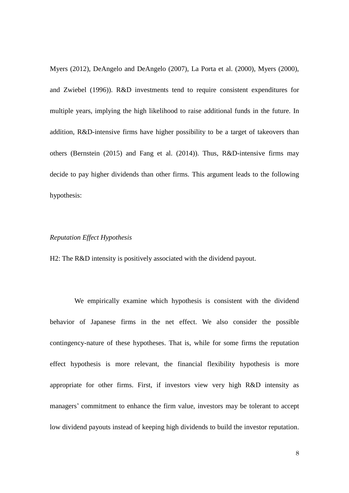Myers (2012), DeAngelo and DeAngelo (2007), La Porta et al. (2000), Myers (2000), and Zwiebel (1996)). R&D investments tend to require consistent expenditures for multiple years, implying the high likelihood to raise additional funds in the future. In addition, R&D-intensive firms have higher possibility to be a target of takeovers than others (Bernstein (2015) and Fang et al. (2014)). Thus, R&D-intensive firms may decide to pay higher dividends than other firms. This argument leads to the following hypothesis:

# *Reputation Effect Hypothesis*

H2: The R&D intensity is positively associated with the dividend payout.

We empirically examine which hypothesis is consistent with the dividend behavior of Japanese firms in the net effect. We also consider the possible contingency-nature of these hypotheses. That is, while for some firms the reputation effect hypothesis is more relevant, the financial flexibility hypothesis is more appropriate for other firms. First, if investors view very high R&D intensity as managers' commitment to enhance the firm value, investors may be tolerant to accept low dividend payouts instead of keeping high dividends to build the investor reputation.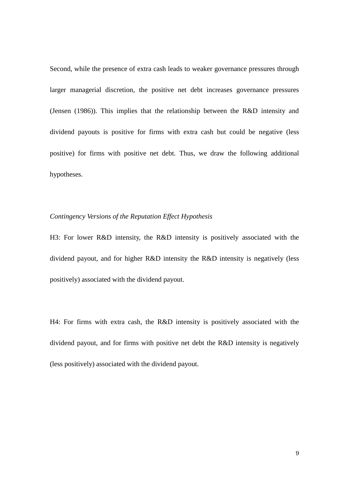Second, while the presence of extra cash leads to weaker governance pressures through larger managerial discretion, the positive net debt increases governance pressures (Jensen (1986)). This implies that the relationship between the R&D intensity and dividend payouts is positive for firms with extra cash but could be negative (less positive) for firms with positive net debt. Thus, we draw the following additional hypotheses.

# *Contingency Versions of the Reputation Effect Hypothesis*

H3: For lower R&D intensity, the R&D intensity is positively associated with the dividend payout, and for higher R&D intensity the R&D intensity is negatively (less positively) associated with the dividend payout.

H4: For firms with extra cash, the R&D intensity is positively associated with the dividend payout, and for firms with positive net debt the R&D intensity is negatively (less positively) associated with the dividend payout.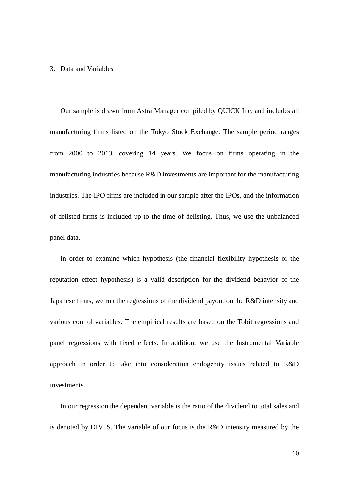# 3. Data and Variables

Our sample is drawn from Astra Manager compiled by QUICK Inc. and includes all manufacturing firms listed on the Tokyo Stock Exchange. The sample period ranges from 2000 to 2013, covering 14 years. We focus on firms operating in the manufacturing industries because R&D investments are important for the manufacturing industries. The IPO firms are included in our sample after the IPOs, and the information of delisted firms is included up to the time of delisting. Thus, we use the unbalanced panel data.

In order to examine which hypothesis (the financial flexibility hypothesis or the reputation effect hypothesis) is a valid description for the dividend behavior of the Japanese firms, we run the regressions of the dividend payout on the R&D intensity and various control variables. The empirical results are based on the Tobit regressions and panel regressions with fixed effects. In addition, we use the Instrumental Variable approach in order to take into consideration endogenity issues related to R&D investments.

In our regression the dependent variable is the ratio of the dividend to total sales and is denoted by DIV S. The variable of our focus is the R&D intensity measured by the

10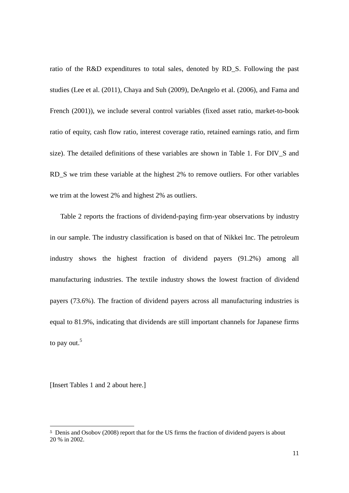ratio of the R&D expenditures to total sales, denoted by RD\_S. Following the past studies (Lee et al. (2011), Chaya and Suh (2009), DeAngelo et al. (2006), and Fama and French (2001)), we include several control variables (fixed asset ratio, market-to-book ratio of equity, cash flow ratio, interest coverage ratio, retained earnings ratio, and firm size). The detailed definitions of these variables are shown in Table 1. For DIV\_S and RD\_S we trim these variable at the highest 2% to remove outliers. For other variables we trim at the lowest 2% and highest 2% as outliers.

Table 2 reports the fractions of dividend-paying firm-year observations by industry in our sample. The industry classification is based on that of Nikkei Inc. The petroleum industry shows the highest fraction of dividend payers (91.2%) among all manufacturing industries. The textile industry shows the lowest fraction of dividend payers (73.6%). The fraction of dividend payers across all manufacturing industries is equal to 81.9%, indicating that dividends are still important channels for Japanese firms to pay out.<sup>5</sup>

[Insert Tables 1 and 2 about here.]

 $\overline{a}$ 

<sup>5</sup> Denis and Osobov (2008) report that for the US firms the fraction of dividend payers is about 20 % in 2002.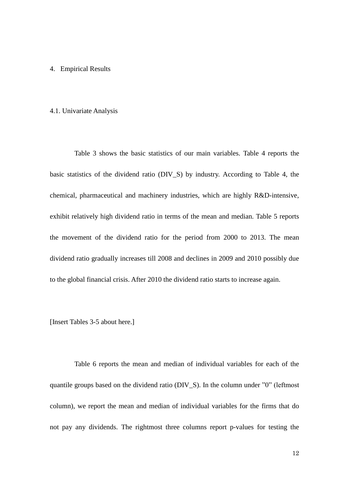### 4. Empirical Results

#### 4.1. Univariate Analysis

Table 3 shows the basic statistics of our main variables. Table 4 reports the basic statistics of the dividend ratio (DIV\_S) by industry. According to Table 4, the chemical, pharmaceutical and machinery industries, which are highly R&D-intensive, exhibit relatively high dividend ratio in terms of the mean and median. Table 5 reports the movement of the dividend ratio for the period from 2000 to 2013. The mean dividend ratio gradually increases till 2008 and declines in 2009 and 2010 possibly due to the global financial crisis. After 2010 the dividend ratio starts to increase again.

[Insert Tables 3-5 about here.]

Table 6 reports the mean and median of individual variables for each of the quantile groups based on the dividend ratio (DIV\_S). In the column under "0" (leftmost column), we report the mean and median of individual variables for the firms that do not pay any dividends. The rightmost three columns report p-values for testing the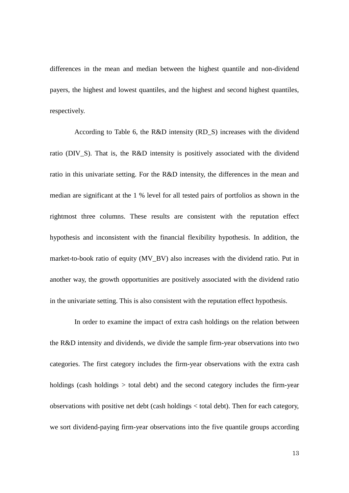differences in the mean and median between the highest quantile and non-dividend payers, the highest and lowest quantiles, and the highest and second highest quantiles, respectively.

According to Table 6, the R&D intensity (RD\_S) increases with the dividend ratio (DIV\_S). That is, the R&D intensity is positively associated with the dividend ratio in this univariate setting. For the R&D intensity, the differences in the mean and median are significant at the 1 % level for all tested pairs of portfolios as shown in the rightmost three columns. These results are consistent with the reputation effect hypothesis and inconsistent with the financial flexibility hypothesis. In addition, the market-to-book ratio of equity (MV\_BV) also increases with the dividend ratio. Put in another way, the growth opportunities are positively associated with the dividend ratio in the univariate setting. This is also consistent with the reputation effect hypothesis.

In order to examine the impact of extra cash holdings on the relation between the R&D intensity and dividends, we divide the sample firm-year observations into two categories. The first category includes the firm-year observations with the extra cash holdings (cash holdings > total debt) and the second category includes the firm-year observations with positive net debt (cash holdings < total debt). Then for each category, we sort dividend-paying firm-year observations into the five quantile groups according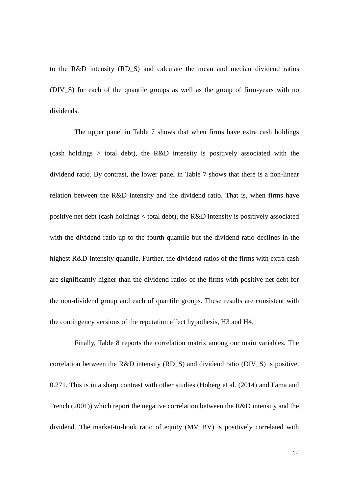to the R&D intensity (RD\_S) and calculate the mean and median dividend ratios (DIV\_S) for each of the quantile groups as well as the group of firm-years with no dividends.

The upper panel in Table 7 shows that when firms have extra cash holdings (cash holdings > total debt), the R&D intensity is positively associated with the dividend ratio. By contrast, the lower panel in Table 7 shows that there is a non-linear relation between the R&D intensity and the dividend ratio. That is, when firms have positive net debt (cash holdings < total debt), the R&D intensity is positively associated with the dividend ratio up to the fourth quantile but the dividend ratio declines in the highest R&D-intensity quantile. Further, the dividend ratios of the firms with extra cash are significantly higher than the dividend ratios of the firms with positive net debt for the non-dividend group and each of quantile groups. These results are consistent with the contingency versions of the reputation effect hypothesis, H3 and H4.

Finally, Table 8 reports the correlation matrix among our main variables. The correlation between the R&D intensity (RD\_S) and dividend ratio (DIV\_S) is positive, 0.271. This is in a sharp contrast with other studies (Hoberg et al. (2014) and Fama and French (2001)) which report the negative correlation between the R&D intensity and the dividend. The market-to-book ratio of equity (MV BV) is positively correlated with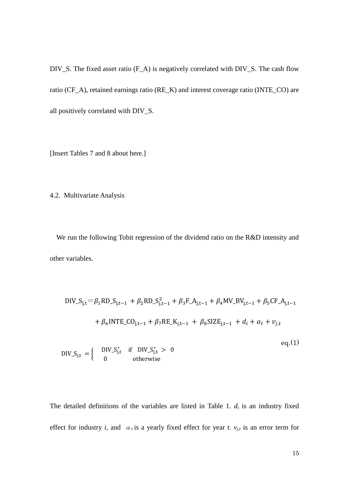DIV\_S. The fixed asset ratio (F\_A) is negatively correlated with DIV\_S. The cash flow ratio (CF\_A), retained earnings ratio (RE\_K) and interest coverage ratio (INTE\_CO) are all positively correlated with DIV\_S.

[Insert Tables 7 and 8 about here.]

4.2. Multivariate Analysis

We run the following Tobit regression of the dividend ratio on the R&D intensity and other variables.

$$
DIV\_S_{j,t} = \beta_1 RD\_S_{j,t-1} + \beta_2 RD\_S_{j,t-1}^2 + \beta_3 F\_A_{j,t-1} + \beta_4 MV\_BV_{j,t-1} + \beta_5 CF\_A_{j,t-1}
$$
  
+  $\beta_6 INTE\_CO_{j,t-1} + \beta_7 RE\_K_{j,t-1} + \beta_8 SIZE_{j,t-1} + d_i + \alpha_t + v_{j,t}$   

$$
PIV\_S_{j,t} = \begin{cases} DIV\_S_{j,t}^* & \text{if } DIV\_S_{j,t}^* > 0 \\ 0 & \text{otherwise} \end{cases} \qquad eq.(1)
$$

The detailed definitions of the variables are listed in Table 1.  $d_i$  is an industry fixed effect for industry *i*, and  $\alpha_t$  is a yearly fixed effect for year *t*.  $v_{j,t}$  is an error term for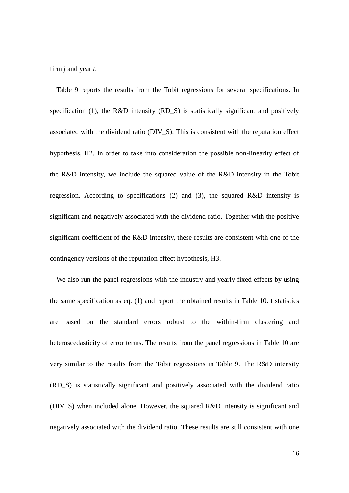firm *j* and year *t*.

Table 9 reports the results from the Tobit regressions for several specifications. In specification (1), the R&D intensity (RD\_S) is statistically significant and positively associated with the dividend ratio (DIV\_S). This is consistent with the reputation effect hypothesis, H2. In order to take into consideration the possible non-linearity effect of the R&D intensity, we include the squared value of the R&D intensity in the Tobit regression. According to specifications (2) and (3), the squared R&D intensity is significant and negatively associated with the dividend ratio. Together with the positive significant coefficient of the R&D intensity, these results are consistent with one of the contingency versions of the reputation effect hypothesis, H3.

We also run the panel regressions with the industry and yearly fixed effects by using the same specification as eq. (1) and report the obtained results in Table 10. t statistics are based on the standard errors robust to the within-firm clustering and heteroscedasticity of error terms. The results from the panel regressions in Table 10 are very similar to the results from the Tobit regressions in Table 9. The R&D intensity (RD\_S) is statistically significant and positively associated with the dividend ratio (DIV\_S) when included alone. However, the squared R&D intensity is significant and negatively associated with the dividend ratio. These results are still consistent with one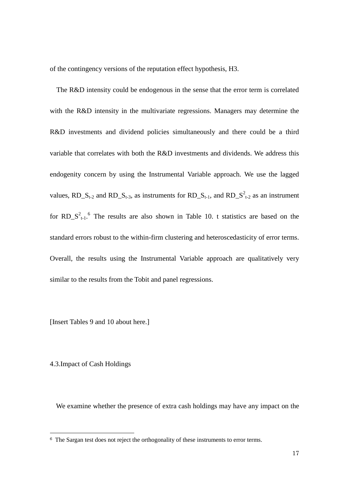of the contingency versions of the reputation effect hypothesis, H3.

The R&D intensity could be endogenous in the sense that the error term is correlated with the R&D intensity in the multivariate regressions. Managers may determine the R&D investments and dividend policies simultaneously and there could be a third variable that correlates with both the R&D investments and dividends. We address this endogenity concern by using the Instrumental Variable approach. We use the lagged values, RD\_S<sub>t-2</sub> and RD\_S<sub>t-3</sub>, as instruments for RD\_S<sub>t-1</sub>, and RD\_S<sup>2</sup><sub>t-2</sub> as an instrument for  $RD\_S^2_{t-1}$ <sup>6</sup>. The results are also shown in Table 10. t statistics are based on the standard errors robust to the within-firm clustering and heteroscedasticity of error terms. Overall, the results using the Instrumental Variable approach are qualitatively very similar to the results from the Tobit and panel regressions.

[Insert Tables 9 and 10 about here.]

# 4.3.Impact of Cash Holdings

-

We examine whether the presence of extra cash holdings may have any impact on the

<sup>6</sup> The Sargan test does not reject the orthogonality of these instruments to error terms.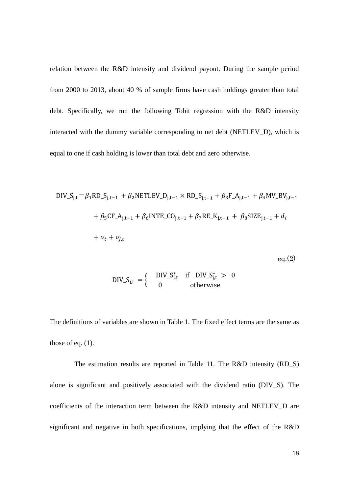relation between the R&D intensity and dividend payout. During the sample period from 2000 to 2013, about 40 % of sample firms have cash holdings greater than total debt. Specifically, we run the following Tobit regression with the R&D intensity interacted with the dummy variable corresponding to net debt (NETLEV\_D), which is equal to one if cash holding is lower than total debt and zero otherwise.

$$
DIV_{sj,t} = \beta_1 RD_{sj,t-1} + \beta_2 NETLEV_{j,t-1} \times RD_{sj,t-1} + \beta_3 F_A_{j,t-1} + \beta_4 MV_BV_{j,t-1} + \beta_5 CF_A_{j,t-1} + \beta_6 INTE_CO_{j,t-1} + \beta_7 RE_A_{j,t-1} + \beta_8 SIZE_{j,t-1} + d_i + \alpha_t + v_{j,t}
$$

$$
\mathrm{eq.}(2)
$$

$$
DIV_{Sj,t} = \begin{cases} DIV_{Sj,t}^{*} & \text{if } DIV_{Sj,t}^{*} > 0\\ 0 & \text{otherwise} \end{cases}
$$

The definitions of variables are shown in Table 1. The fixed effect terms are the same as those of eq.  $(1)$ .

The estimation results are reported in Table 11. The R&D intensity (RD\_S) alone is significant and positively associated with the dividend ratio (DIV\_S). The coefficients of the interaction term between the R&D intensity and NETLEV\_D are significant and negative in both specifications, implying that the effect of the R&D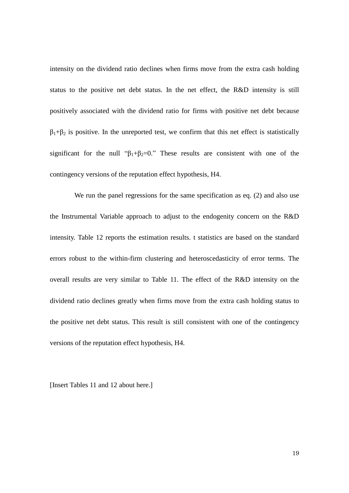intensity on the dividend ratio declines when firms move from the extra cash holding status to the positive net debt status. In the net effect, the R&D intensity is still positively associated with the dividend ratio for firms with positive net debt because  $\beta_1+\beta_2$  is positive. In the unreported test, we confirm that this net effect is statistically significant for the null " $\beta_1 + \beta_2 = 0$ ." These results are consistent with one of the contingency versions of the reputation effect hypothesis, H4.

We run the panel regressions for the same specification as eq. (2) and also use the Instrumental Variable approach to adjust to the endogenity concern on the R&D intensity. Table 12 reports the estimation results. t statistics are based on the standard errors robust to the within-firm clustering and heteroscedasticity of error terms. The overall results are very similar to Table 11. The effect of the R&D intensity on the dividend ratio declines greatly when firms move from the extra cash holding status to the positive net debt status. This result is still consistent with one of the contingency versions of the reputation effect hypothesis, H4.

[Insert Tables 11 and 12 about here.]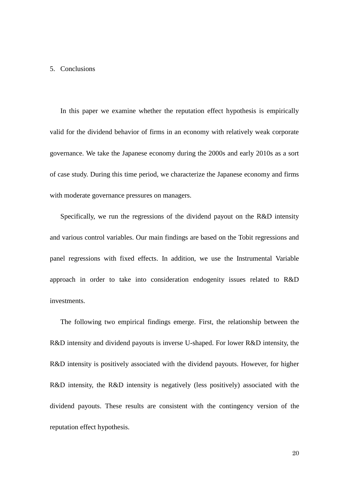### 5. Conclusions

In this paper we examine whether the reputation effect hypothesis is empirically valid for the dividend behavior of firms in an economy with relatively weak corporate governance. We take the Japanese economy during the 2000s and early 2010s as a sort of case study. During this time period, we characterize the Japanese economy and firms with moderate governance pressures on managers.

Specifically, we run the regressions of the dividend payout on the R&D intensity and various control variables. Our main findings are based on the Tobit regressions and panel regressions with fixed effects. In addition, we use the Instrumental Variable approach in order to take into consideration endogenity issues related to R&D investments.

The following two empirical findings emerge. First, the relationship between the R&D intensity and dividend payouts is inverse U-shaped. For lower R&D intensity, the R&D intensity is positively associated with the dividend payouts. However, for higher R&D intensity, the R&D intensity is negatively (less positively) associated with the dividend payouts. These results are consistent with the contingency version of the reputation effect hypothesis.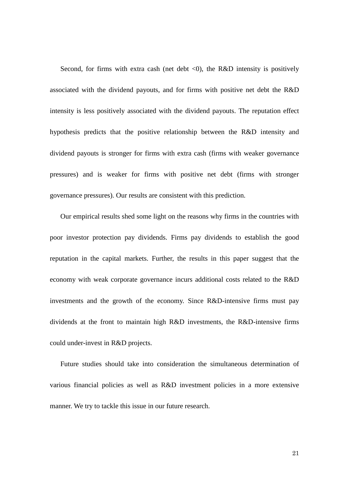Second, for firms with extra cash (net debt  $\langle 0 \rangle$ , the R&D intensity is positively associated with the dividend payouts, and for firms with positive net debt the R&D intensity is less positively associated with the dividend payouts. The reputation effect hypothesis predicts that the positive relationship between the R&D intensity and dividend payouts is stronger for firms with extra cash (firms with weaker governance pressures) and is weaker for firms with positive net debt (firms with stronger governance pressures). Our results are consistent with this prediction.

Our empirical results shed some light on the reasons why firms in the countries with poor investor protection pay dividends. Firms pay dividends to establish the good reputation in the capital markets. Further, the results in this paper suggest that the economy with weak corporate governance incurs additional costs related to the R&D investments and the growth of the economy. Since R&D-intensive firms must pay dividends at the front to maintain high R&D investments, the R&D-intensive firms could under-invest in R&D projects.

Future studies should take into consideration the simultaneous determination of various financial policies as well as R&D investment policies in a more extensive manner. We try to tackle this issue in our future research.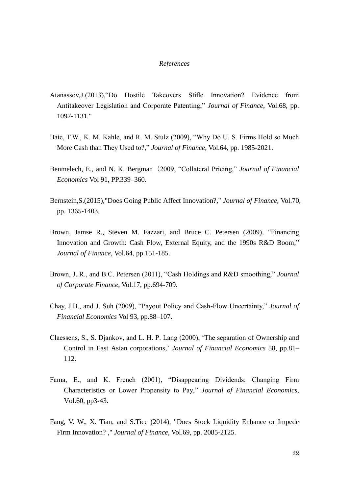#### *References*

- Atanassov,J.(2013),"Do Hostile Takeovers Stifle Innovation? Evidence from Antitakeover Legislation and Corporate Patenting," *Journal of Finance*, Vol.68, pp. 1097-1131."
- Bate, T.W., K. M. Kahle, and R. M. Stulz (2009), "Why Do U. S. Firms Hold so Much More Cash than They Used to?," *Journal of Finance*, Vol.64, pp. 1985-2021.
- Benmelech, E., and N. K. Bergman(2009, "Collateral Pricing," *Journal of Financial Economics* Vol 91, PP.339–360.
- Bernstein,S.(2015),"Does Going Public Affect Innovation?," *Journal of Finance*, Vol.70, pp. 1365-1403.
- Brown, Jamse R., Steven M. Fazzari, and Bruce C. Petersen (2009), "Financing Innovation and Growth: Cash Flow, External Equity, and the 1990s R&D Boom," *Journal of Finance*, Vol.64, pp.151-185.
- Brown, J. R., and B.C. Petersen (2011), "Cash Holdings and R&D smoothing," *Journal of Corporate Finance*, Vol.17, pp.694-709.
- Chay, J.B., and J. Suh (2009), "Payout Policy and Cash-Flow Uncertainty," *Journal of Financial Economics* Vol 93, pp.88–107.
- Claessens, S., S. Djankov, and L. H. P. Lang (2000), 'The separation of Ownership and Control in East Asian corporations,' *Journal of Financial Economics* 58, pp.81– 112.
- Fama, E., and K. French (2001), "Disappearing Dividends: Changing Firm Characteristics or Lower Propensity to Pay," *Journal of Financial Economics,* Vol.60, pp3-43.
- Fang, V. W., X. Tian, and S.Tice (2014), "Does Stock Liquidity Enhance or Impede Firm Innovation? ," *Journal of Finance*, Vol.69, pp. 2085-2125.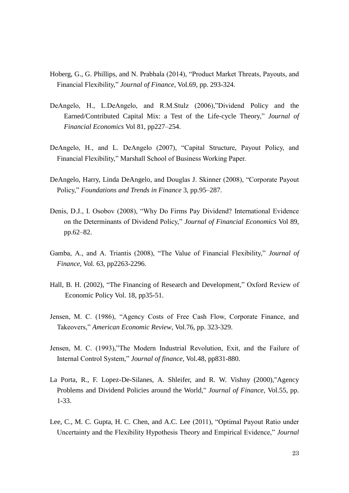- Hoberg, G., G. Phillips, and N. Prabhala (2014), "Product Market Threats, Payouts, and Financial Flexibility," *Journal of Finance*, Vol.69, pp. 293-324.
- DeAngelo, H., L.DeAngelo, and R.M.Stulz (2006),"Dividend Policy and the Earned/Contributed Capital Mix: a Test of the Life-cycle Theory," *Journal of Financial Economics* Vol 81, pp227–254.
- DeAngelo, H., and L. DeAngelo (2007), "Capital Structure, Payout Policy, and Financial Flexibility," Marshall School of Business Working Paper.
- DeAngelo, Harry, Linda DeAngelo, and Douglas J. Skinner (2008), "Corporate Payout Policy," *Foundations and Trends in Finance* 3, pp.95–287.
- Denis, D.J., I. Osobov (2008), "Why Do Firms Pay Dividend? International Evidence on the Determinants of Dividend Policy," *Journal of Financial Economics* Vol 89, pp.62–82.
- Gamba, A., and A. Triantis (2008), "The Value of Financial Flexibility," *Journal of Finance*, Vol. 63, pp2263-2296.
- Hall, B. H. (2002), "The Financing of Research and Development," Oxford Review of Economic Policy Vol. 18, pp35-51.
- Jensen, M. C. (1986), "Agency Costs of Free Cash Flow, Corporate Finance, and Takeovers," *American Economic Review*, Vol.76, pp. 323-329.
- Jensen, M. C. (1993),"The Modern Industrial Revolution, Exit, and the Failure of Internal Control System," *Journal of finance*, Vol.48, pp831-880.
- La Porta, R., F. Lopez-De-Silanes, A. Shleifer, and R. W. Vishny (2000),"Agency Problems and Dividend Policies around the World," *Journal of Finance*, Vol.55, pp. 1-33.
- Lee, C., M. C. Gupta, H. C. Chen, and A.C. Lee (2011), "Optimal Payout Ratio under Uncertainty and the Flexibility Hypothesis Theory and Empirical Evidence," *Journal*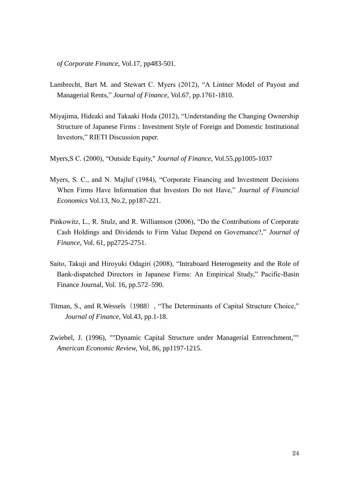*of Corporate Finance*, Vol.17, pp483-501.

- Lambrecht, Bart M. and Stewart C. Myers (2012), "A Lintner Model of Payout and Managerial Rents," *Journal of Finance*, Vol.67, pp.1761-1810.
- Miyajima, Hideaki and Takaaki Hoda (2012), "Understanding the Changing Ownership Structure of Japanese Firms : Investment Style of Foreign and Domestic Institutional Investors," RIETI Discussion paper.

Myers,S C. (2000), "Outside Equity," *Journal of Finance*, Vol.55.pp1005-1037

- Myers, S. C., and N. Majluf (1984), "Corporate Financing and Investment Decisions When Firms Have Information that Investors Do not Have," *Journal of Financial Economics* Vol.13, No.2, pp187-221.
- Pinkowitz, L., R. Stulz, and R. Williamson (2006), "Do the Contributions of Corporate Cash Holdings and Dividends to Firm Value Depend on Governance?," *Journal of Finance*, Vol. 61, pp2725-2751.
- Saito, Takuji and Hiroyuki Odagiri (2008), "Intraboard Heterogeneity and the Role of Bank-dispatched Directors in Japanese Firms: An Empirical Study," Pacific-Basin Finance Journal, Vol. 16, pp.572–590.
- Titman, S., and R.Wessels (1988), "The Determinants of Capital Structure Choice," *Journal of Finance,* Vol.43, pp.1-18.
- Zwiebel, J. (1996), ""Dynamic Capital Structure under Managerial Entrenchment,"" *American Economic Review,* Vol, 86, pp1197-1215.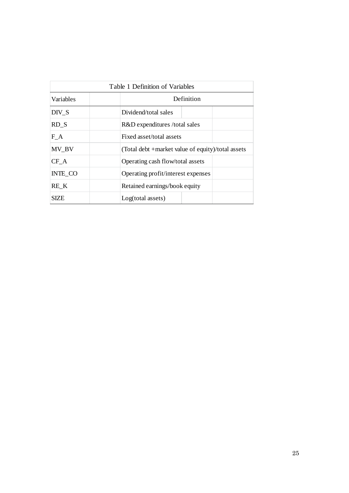|                  | Table 1 Definition of Variables                   |
|------------------|---------------------------------------------------|
| <b>Variables</b> | Definition                                        |
| DIV S            | Dividend/total sales                              |
| RD S             | R&D expenditures /total sales                     |
| F A              | Fixed asset/total assets                          |
| MV BV            | (Total debt +market value of equity)/total assets |
| $CF_A$           | Operating cash flow/total assets                  |
| INTE_CO          | Operating profit/interest expenses                |
| RE K             | Retained earnings/book equity                     |
| SIZE             | Log(total assets)                                 |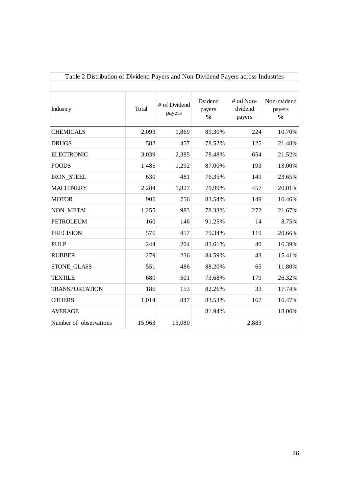| Table 2 Distribution of Dividend Payers and Non-Dividend Payers across Industries |        |                        |                           |                                |                               |
|-----------------------------------------------------------------------------------|--------|------------------------|---------------------------|--------------------------------|-------------------------------|
|                                                                                   |        |                        |                           |                                |                               |
| Industry                                                                          | Total  | # of Dvidend<br>payers | Dvidend<br>payers<br>$\%$ | # od Non-<br>dvidend<br>payers | Non-dvidend<br>payers<br>$\%$ |
| <b>CHEMICALS</b>                                                                  | 2,093  | 1,869                  | 89.30%                    | 224                            | 10.70%                        |
| <b>DRUGS</b>                                                                      | 582    | 457                    | 78.52%                    | 125                            | 21.48%                        |
| <b>ELECTRONIC</b>                                                                 | 3,039  | 2,385                  | 78.48%                    | 654                            | 21.52%                        |
| <b>FOODS</b>                                                                      | 1,485  | 1,292                  | 87.00%                    | 193                            | 13.00%                        |
| <b>IRON_STEEL</b>                                                                 | 630    | 481                    | 76.35%                    | 149                            | 23.65%                        |
| <b>MACHINERY</b>                                                                  | 2,284  | 1,827                  | 79.99%                    | 457                            | 20.01%                        |
| <b>MOTOR</b>                                                                      | 905    | 756                    | 83.54%                    | 149                            | 16.46%                        |
| <b>NON METAL</b>                                                                  | 1,255  | 983                    | 78.33%                    | 272                            | 21.67%                        |
| <b>PETROLEUM</b>                                                                  | 160    | 146                    | 91.25%                    | 14                             | 8.75%                         |
| <b>PRECISION</b>                                                                  | 576    | 457                    | 79.34%                    | 119                            | 20.66%                        |
| <b>PULP</b>                                                                       | 244    | 204                    | 83.61%                    | 40                             | 16.39%                        |
| <b>RUBBER</b>                                                                     | 279    | 236                    | 84.59%                    | 43                             | 15.41%                        |
| STONE_GLASS                                                                       | 551    | 486                    | 88.20%                    | 65                             | 11.80%                        |
| <b>TEXTILE</b>                                                                    | 680    | 501                    | 73.68%                    | 179                            | 26.32%                        |
| <b>TRANSPORTATION</b>                                                             | 186    | 153                    | 82.26%                    | 33                             | 17.74%                        |
| <b>OTHERS</b>                                                                     | 1,014  | 847                    | 83.53%                    | 167                            | 16.47%                        |
| <b>AVERAGE</b>                                                                    |        |                        | 81.94%                    |                                | 18.06%                        |
| Number of observations                                                            | 15,963 | 13,080                 |                           | 2,883                          |                               |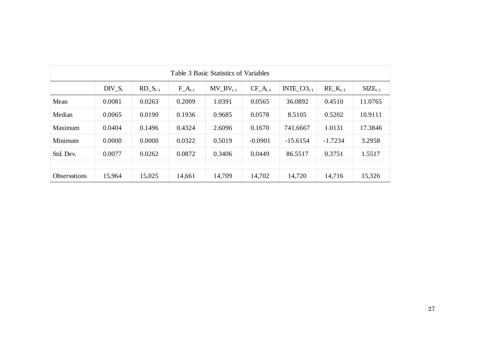|                     |           |               |             | Table 3 Basic Statistics of Variables |               |                  |                 |                     |
|---------------------|-----------|---------------|-------------|---------------------------------------|---------------|------------------|-----------------|---------------------|
|                     | $DIV_S_t$ | $RD\_S_{t-1}$ | $F_A_{t-1}$ | $MV_BV_{t-1}$                         | $CF\_A_{t-1}$ | $INTE\_CO_{t-1}$ | $RE_{-}K_{t-1}$ | $\text{SIZE}_{t-1}$ |
| Mean                | 0.0081    | 0.0263        | 0.2009      | 1.0391                                | 0.0565        | 36.0892          | 0.4510          | 11.0765             |
| Median              | 0.0065    | 0.0190        | 0.1936      | 0.9685                                | 0.0578        | 8.5105           | 0.5202          | 10.9111             |
| Maximum             | 0.0404    | 0.1496        | 0.4324      | 2.6096                                | 0.1670        | 741.6667         | 1.0131          | 17.3846             |
| Minimum             | 0.0000    | 0.0000        | 0.0322      | 0.5019                                | $-0.0901$     | $-15.6154$       | $-1.7234$       | 3.2958              |
| Std. Dev.           | 0.0077    | 0.0262        | 0.0872      | 0.3406                                | 0.0449        | 86.5517          | 0.3751          | 1.5517              |
|                     |           |               |             |                                       |               |                  |                 |                     |
| <b>Observations</b> | 15,964    | 15,025        | 14,661      | 14,709                                | 14,702        | 14,720           | 14,716          | 15,326              |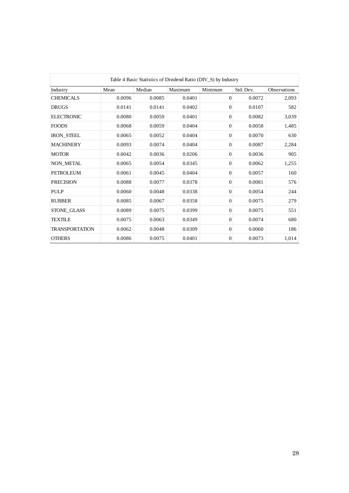|                       |        |        |            | Table 4 Basic Statistics of Dividend Ratio (DIV_S) by Industry |           |              |
|-----------------------|--------|--------|------------|----------------------------------------------------------------|-----------|--------------|
| Industry              | Mean   | Median | Maximum    | Minimum                                                        | Std. Dev. | Observations |
| <b>CHEMICALS</b>      | 0.0096 | 0.0085 | $0.0401\,$ | $\boldsymbol{0}$                                               | 0.0072    | 2,093        |
| <b>DRUGS</b>          | 0.0141 | 0.0141 | 0.0402     | $\boldsymbol{0}$                                               | 0.0107    | 582          |
| <b>ELECTRONIC</b>     | 0.0080 | 0.0059 | 0.0401     | $\boldsymbol{0}$                                               | 0.0082    | 3,039        |
| <b>FOODS</b>          | 0.0068 | 0.0059 | 0.0404     | $\boldsymbol{0}$                                               | 0.0058    | 1,485        |
| IRON_STEEL            | 0.0065 | 0.0052 | 0.0404     | $\boldsymbol{0}$                                               | 0.0070    | 630          |
| <b>MACHINERY</b>      | 0.0093 | 0.0074 | 0.0404     | $\boldsymbol{0}$                                               | 0.0087    | 2,284        |
| <b>MOTOR</b>          | 0.0042 | 0.0036 | 0.0206     | $\boldsymbol{0}$                                               | 0.0036    | 905          |
| NON_METAL             | 0.0065 | 0.0054 | 0.0345     | $\boldsymbol{0}$                                               | 0.0062    | 1,255        |
| PETROLEUM             | 0.0061 | 0.0045 | 0.0404     | $\boldsymbol{0}$                                               | 0.0057    | 160          |
| <b>PRECISION</b>      | 0.0088 | 0.0077 | 0.0378     | $\boldsymbol{0}$                                               | 0.0081    | 576          |
| PULP                  | 0.0060 | 0.0048 | 0.0338     | $\boldsymbol{0}$                                               | 0.0054    | 244          |
| <b>RUBBER</b>         | 0.0085 | 0.0067 | 0.0358     | $\boldsymbol{0}$                                               | 0.0075    | 279          |
| STONE_GLASS           | 0.0089 | 0.0075 | 0.0399     | $\boldsymbol{0}$                                               | 0.0075    | 551          |
| <b>TEXTILE</b>        | 0.0075 | 0.0063 | 0.0349     | $\boldsymbol{0}$                                               | 0.0074    | 680          |
| <b>TRANSPORTATION</b> | 0.0062 | 0.0048 | 0.0309     | $\boldsymbol{0}$                                               | 0.0060    | 186          |
| <b>OTHERS</b>         | 0.0086 | 0.0075 | 0.0401     | $\boldsymbol{0}$                                               | 0.0073    | 1,014        |
|                       |        |        |            |                                                                |           |              |
|                       |        |        |            |                                                                |           | 28           |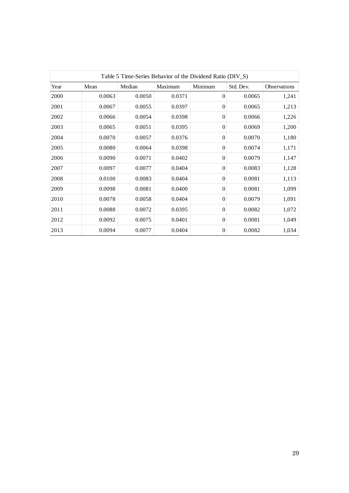|      |              |            | Table 5 Time-Series Behavior of the Dividend Ratio (DIV_S) |                  |            |              |
|------|--------------|------------|------------------------------------------------------------|------------------|------------|--------------|
| Year | Mean         | Median     | Maximum                                                    | Minimum          | Std. Dev.  | Observations |
| 2000 | 0.0063       | 0.0050     | 0.0371                                                     | $\boldsymbol{0}$ | 0.0065     | 1,241        |
| 2001 | 0.0067       | 0.0055     | 0.0397                                                     | $\boldsymbol{0}$ | 0.0065     | 1,213        |
| 2002 | 0.0066       | 0.0054     | 0.0398                                                     | $\boldsymbol{0}$ | 0.0066     | 1,226        |
| 2003 | 0.0065       | 0.0051     | 0.0395                                                     | $\boldsymbol{0}$ | 0.0069     | 1,200        |
| 2004 | 0.0070       | 0.0057     | 0.0376                                                     | $\boldsymbol{0}$ | 0.0070     | 1,180        |
| 2005 | 0.0080       | 0.0064     | 0.0398                                                     | $\boldsymbol{0}$ | 0.0074     | 1,171        |
| 2006 | 0.0090       | 0.0071     | 0.0402                                                     | $\boldsymbol{0}$ | 0.0079     | 1,147        |
| 2007 | 0.0097       | 0.0077     | 0.0404                                                     | $\boldsymbol{0}$ | 0.0083     | 1,128        |
| 2008 | 0.0100       | 0.0083     | 0.0404                                                     | $\boldsymbol{0}$ | $0.0081\,$ | 1,113        |
| 2009 | 0.0098       | $0.0081\,$ | 0.0400                                                     | $\boldsymbol{0}$ | $0.0081\,$ | 1,099        |
| 2010 | 0.0078       | 0.0058     | 0.0404                                                     | $\boldsymbol{0}$ | 0.0079     | 1,091        |
| 2011 | $\,0.0088\,$ | 0.0072     | 0.0395                                                     | $\boldsymbol{0}$ | 0.0082     | 1,072        |
| 2012 | 0.0092       | 0.0075     | 0.0401                                                     | $\boldsymbol{0}$ | $0.0081\,$ | 1,049        |
| 2013 | 0.0094       | $0.0077\,$ | 0.0404                                                     | $\boldsymbol{0}$ | 0.0082     | 1,034        |
|      |              |            |                                                            |                  |            |              |
|      |              |            |                                                            |                  |            | 29           |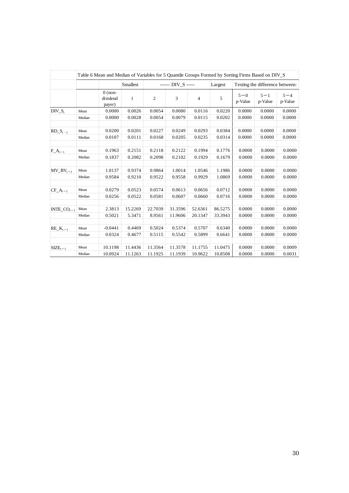|                        |                | Table 6 Mean and Median of Variables for 5 Quantile Groups Formed by Sorting Firms Based on DIV_S |                    |                    |                             |                    |                    |                    |                                 |                    |
|------------------------|----------------|---------------------------------------------------------------------------------------------------|--------------------|--------------------|-----------------------------|--------------------|--------------------|--------------------|---------------------------------|--------------------|
|                        |                |                                                                                                   | Smallest           |                    | ------ DIV_S -----          |                    | Largest            |                    | Testing the difference between: |                    |
|                        |                | $0$ (non-<br>dividend<br>payer)                                                                   | $\mathbf{1}$       | $\sqrt{2}$         | $\ensuremath{\mathfrak{Z}}$ | $\overline{4}$     | 5                  | $5 - 0$<br>p-Value | $5 - 1$<br>p-Value              | $5 - 4$<br>p-Value |
| $DIV_S_t$              | Mean           | 0.0000                                                                                            | 0.0026             | 0.0054             | 0.0080                      | 0.0116             | 0.0220             | 0.0000             | 0.0000                          | 0.0000             |
|                        | Median         | 0.0000                                                                                            | 0.0028             | 0.0054             | 0.0079                      | 0.0115             | 0.0202             | 0.0000             | 0.0000                          | 0.0000             |
| $RD\_S_{t-1}$          | Mean           | 0.0200                                                                                            | 0.0201             | 0.0227             | 0.0249                      | 0.0293             | 0.0384             | 0.0000             | 0.0000                          | 0.0000             |
|                        | Median         | 0.0107                                                                                            | 0.0111             | 0.0168             | 0.0205                      | 0.0235             | 0.0314             | 0.0000             | 0.0000                          | 0.0000             |
| $F_A_{t-1}$            | Mean           | 0.1963                                                                                            | 0.2151             | 0.2118             | 0.2122                      | 0.1994             | 0.1776             | 0.0000             | 0.0000                          | 0.0000             |
|                        | Median         | 0.1837                                                                                            | 0.2082             | 0.2098             | 0.2102                      | 0.1929             | 0.1679             | 0.0000             | 0.0000                          | 0.0000             |
|                        |                |                                                                                                   |                    |                    |                             |                    |                    |                    |                                 |                    |
| $MV_BV_{t-1}$          | Mean<br>Median | 1.0137<br>0.9584                                                                                  | 0.9374<br>0.9210   | 0.9864<br>0.9522   | 1.0014<br>0.9558            | 1.0546<br>0.9929   | 1.1986<br>1.0869   | 0.0000<br>0.0000   | 0.0000<br>0.0000                | 0.0000<br>0.0000   |
|                        |                |                                                                                                   |                    |                    |                             |                    |                    |                    |                                 |                    |
| $CF\_A_{t-1}$          | Mean           | 0.0279                                                                                            | 0.0523             | 0.0574             | 0.0613                      | 0.0656             | 0.0712             | 0.0000             | 0.0000                          | 0.0000             |
|                        | Median         | 0.0256                                                                                            | 0.0522             | 0.0581             | 0.0607                      | 0.0660             | 0.0716             | 0.0000             | 0.0000                          | 0.0000             |
| INTE_CO <sub>t-1</sub> | Mean           | 2.3813                                                                                            | 15.2269            | 22.7039            | 31.3596                     | 52.6361            | 86.5275            | 0.0000             | 0.0000                          | 0.0000             |
|                        | Median         | 0.5021                                                                                            | 5.3471             | 8.9561             | 11.9606                     | 20.1347            | 33.3943            | 0.0000             | 0.0000                          | 0.0000             |
|                        |                |                                                                                                   |                    |                    |                             |                    |                    |                    |                                 |                    |
| $RE_K_{t-1}$           | Mean<br>Median | $-0.0441$<br>0.0324                                                                               | 0.4469<br>0.4677   | 0.5024<br>0.5115   | 0.5374<br>0.5542            | 0.5707<br>0.5899   | 0.6340<br>0.6641   | 0.0000<br>0.0000   | 0.0000<br>0.0000                | 0.0000<br>0.0000   |
|                        |                |                                                                                                   |                    |                    |                             |                    |                    |                    |                                 |                    |
| $SIZE_{t-1}$           | Mean<br>Median | 10.1198<br>10.0924                                                                                | 11.4436<br>11.1263 | 11.3564<br>11.1925 | 11.3578<br>11.1939          | 11.1755<br>10.9622 | 11.0475<br>10.8508 | 0.0000<br>0.0000   | 0.0000<br>0.0000                | 0.0009<br>0.0031   |
|                        |                |                                                                                                   |                    |                    |                             |                    |                    |                    |                                 |                    |
|                        |                |                                                                                                   |                    |                    |                             |                    |                    |                    |                                 |                    |
|                        |                |                                                                                                   |                    |                    |                             |                    |                    |                    |                                 | 30                 |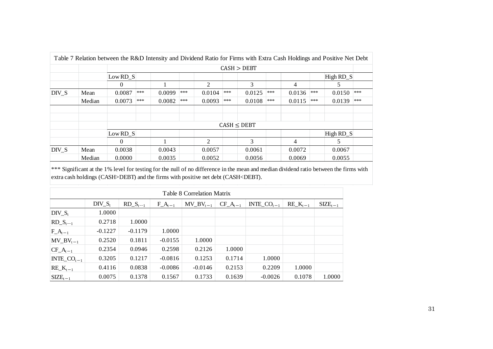|       |        | Table 7 Relation between the R&D Intensity and Dividend Ratio for Firms with Extra Cash Holdings and Positive Net Debt |     |        |     |                             |     |                 |     |        |     |                  |     |
|-------|--------|------------------------------------------------------------------------------------------------------------------------|-----|--------|-----|-----------------------------|-----|-----------------|-----|--------|-----|------------------|-----|
|       |        |                                                                                                                        |     |        |     |                             |     | CASH > DEBT     |     |        |     |                  |     |
|       |        | Low RD S                                                                                                               |     |        |     |                             |     |                 |     |        |     | High $RD \ S$    |     |
|       |        | $\theta$                                                                                                               |     |        |     | $\mathfrak{D}$              |     | 3               |     | 4      |     | C                |     |
| DIV S | Mean   | 0.0087                                                                                                                 | *** | 0.0099 | *** | 0.0104                      | *** | 0.0125          | *** | 0.0136 | *** | 0.0150           | *** |
|       | Median | 0.0073                                                                                                                 | *** | 0.0082 | *** | 0.0093                      | *** | 0.0108          | *** | 0.0115 | *** | 0.0139           | *** |
|       |        |                                                                                                                        |     |        |     |                             |     |                 |     |        |     |                  |     |
|       |        |                                                                                                                        |     |        |     |                             |     | $CASH \le DEBT$ |     |        |     |                  |     |
|       |        |                                                                                                                        |     |        |     |                             |     |                 |     |        |     |                  |     |
|       |        | Low RD S                                                                                                               |     |        |     |                             |     |                 |     |        |     | High $RD \simeq$ |     |
|       |        | $\Omega$                                                                                                               |     |        |     | $\mathcal{D}_{\mathcal{L}}$ |     | 3               |     | 4      |     | 5                |     |
| DIV S | Mean   | 0.0038                                                                                                                 |     | 0.0043 |     | 0.0057                      |     | 0.0061          |     | 0.0072 |     | 0.0067           |     |
|       | Median | 0.0000                                                                                                                 |     | 0.0035 |     | 0.0052                      |     | 0.0056          |     | 0.0069 |     | 0.0055           |     |

\*\*\* Significant at the 1% level for testing for the null of no difference in the mean and median dividend ratio between the firms with extra cash holdings (CASH>DEBT) and the firms with positive net debt (CASH<DEBT).

|                        |           |               |             | <b>Table 8 Correlation Matrix</b> |               |                  |                 |                     |
|------------------------|-----------|---------------|-------------|-----------------------------------|---------------|------------------|-----------------|---------------------|
|                        | $DIV_S_t$ | $RD\_S_{t-1}$ | $F_A_{t-1}$ | $MV_BV_{t-1}$                     | $CF\_A_{t-1}$ | INTE_ $CO_{t-1}$ | $RE_{-}K_{t-1}$ | $\text{SIZE}_{t-1}$ |
| $DIV_S_t$              | 1.0000    |               |             |                                   |               |                  |                 |                     |
| $RD\_S_{t-1}$          | 0.2718    | 1.0000        |             |                                   |               |                  |                 |                     |
| $F_A_{t-1}$            | $-0.1227$ | $-0.1179$     | 1.0000      |                                   |               |                  |                 |                     |
| $MV_BV_{t-1}$          | 0.2520    | 0.1811        | $-0.0155$   | 1.0000                            |               |                  |                 |                     |
| $ CF_A_{t-1} $         | 0.2354    | 0.0946        | 0.2598      | 0.2126                            | 1.0000        |                  |                 |                     |
| INTE_CO <sub>t-1</sub> | 0.3205    | 0.1217        | $-0.0816$   | 0.1253                            | 0.1714        | 1.0000           |                 |                     |
| $RE_{-}K_{t-1}$        | 0.4116    | 0.0838        | $-0.0086$   | $-0.0146$                         | 0.2153        | 0.2209           | 1.0000          |                     |
| $SIZE_{t-1}$           | 0.0075    | 0.1378        | 0.1567      | 0.1733                            | 0.1639        | $-0.0026$        | 0.1078          | 1.0000              |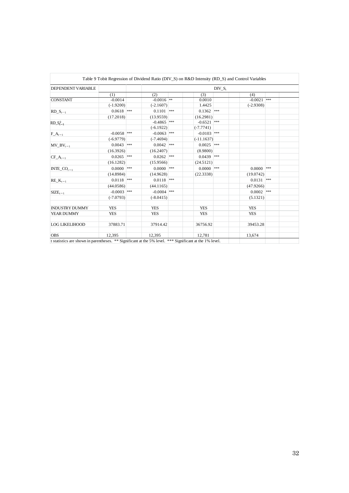| $DIV_S_t$<br>(1)<br>(3)<br>(4)<br>(2)<br>$-0.0016$ **<br>$-0.0021$ ***<br>CONSTANT<br>$-0.0014$<br>0.0010<br>$(-1.9200)$<br>$(-2.1607)$<br>1.4425<br>$(-2.9308)$<br>$0.0618$ ***<br>$0.1362$ ***<br>$0.1101$ ***<br>$RD\_S_{t-1}$<br>(13.9559)<br>(16.2981)<br>(17.2018)<br>$-0.6521$ ***<br>$-0.4865$ ***<br>$RD_S^2_{t-1}$<br>$(-6.1922)$<br>$(-7.7741)$<br>$-0.0058$ ***<br>$-0.0103$ ***<br>$-0.0063$ ***<br>$F_A_{t-1}$<br>$(-6.9779)$<br>$(-7.4694)$<br>$(-11.1637)$<br>$0.0043$ ***<br>$0.0042$ ***<br>$0.0025$ ***<br>$MV_BV_{t-1}$<br>(16.3926)<br>(16.2407)<br>(8.9800)<br>$0.0265$ ***<br>$0.0262$ ***<br>$0.0439$ ***<br>$CF\_A_{t-1}$<br>(15.9566)<br>(24.5121)<br>(16.1282)<br>$0.0000$ ***<br>$0.0000$ ***<br>$0.0000$ ***<br>$0.0000$ ***<br>$INTE\_CO_{t-1}$<br>(14.8984)<br>(14.9628)<br>(22.3338)<br>(19.0742)<br>$0.0118$ <sup>***</sup><br>***<br>$0.0118$ ***<br>0.0131<br>$RE_K_{t-1}$<br>(44.0586)<br>(44.1165)<br>(47.9266)<br>$-0.0003$ ***<br>$-0.0004$ ***<br>$0.0002$ ***<br>$SIZE_{t-1}$<br>$(-7.0793)$<br>$(-8.0415)$<br>(5.1321)<br>INDUSTRY DUMMY<br>YES<br>YES<br>YES<br>YES<br>YEAR DUMMY<br><b>YES</b><br>YES<br><b>YES</b><br><b>YES</b><br>LOG LIKELIHOOD<br>37883.71<br>37914.42<br>36756.92<br>39453.28<br><b>OBS</b><br>12,395<br>12,395<br>12,781<br>13,674<br>t statistics are shown in parentheses. ** Significant at the 5% level. *** Significant at the 1% level. |
|------------------------------------------------------------------------------------------------------------------------------------------------------------------------------------------------------------------------------------------------------------------------------------------------------------------------------------------------------------------------------------------------------------------------------------------------------------------------------------------------------------------------------------------------------------------------------------------------------------------------------------------------------------------------------------------------------------------------------------------------------------------------------------------------------------------------------------------------------------------------------------------------------------------------------------------------------------------------------------------------------------------------------------------------------------------------------------------------------------------------------------------------------------------------------------------------------------------------------------------------------------------------------------------------------------------------------------------------------------------------------------------------------------------|
|                                                                                                                                                                                                                                                                                                                                                                                                                                                                                                                                                                                                                                                                                                                                                                                                                                                                                                                                                                                                                                                                                                                                                                                                                                                                                                                                                                                                                  |
|                                                                                                                                                                                                                                                                                                                                                                                                                                                                                                                                                                                                                                                                                                                                                                                                                                                                                                                                                                                                                                                                                                                                                                                                                                                                                                                                                                                                                  |
|                                                                                                                                                                                                                                                                                                                                                                                                                                                                                                                                                                                                                                                                                                                                                                                                                                                                                                                                                                                                                                                                                                                                                                                                                                                                                                                                                                                                                  |
|                                                                                                                                                                                                                                                                                                                                                                                                                                                                                                                                                                                                                                                                                                                                                                                                                                                                                                                                                                                                                                                                                                                                                                                                                                                                                                                                                                                                                  |
|                                                                                                                                                                                                                                                                                                                                                                                                                                                                                                                                                                                                                                                                                                                                                                                                                                                                                                                                                                                                                                                                                                                                                                                                                                                                                                                                                                                                                  |
|                                                                                                                                                                                                                                                                                                                                                                                                                                                                                                                                                                                                                                                                                                                                                                                                                                                                                                                                                                                                                                                                                                                                                                                                                                                                                                                                                                                                                  |
|                                                                                                                                                                                                                                                                                                                                                                                                                                                                                                                                                                                                                                                                                                                                                                                                                                                                                                                                                                                                                                                                                                                                                                                                                                                                                                                                                                                                                  |
|                                                                                                                                                                                                                                                                                                                                                                                                                                                                                                                                                                                                                                                                                                                                                                                                                                                                                                                                                                                                                                                                                                                                                                                                                                                                                                                                                                                                                  |
|                                                                                                                                                                                                                                                                                                                                                                                                                                                                                                                                                                                                                                                                                                                                                                                                                                                                                                                                                                                                                                                                                                                                                                                                                                                                                                                                                                                                                  |
|                                                                                                                                                                                                                                                                                                                                                                                                                                                                                                                                                                                                                                                                                                                                                                                                                                                                                                                                                                                                                                                                                                                                                                                                                                                                                                                                                                                                                  |
|                                                                                                                                                                                                                                                                                                                                                                                                                                                                                                                                                                                                                                                                                                                                                                                                                                                                                                                                                                                                                                                                                                                                                                                                                                                                                                                                                                                                                  |
|                                                                                                                                                                                                                                                                                                                                                                                                                                                                                                                                                                                                                                                                                                                                                                                                                                                                                                                                                                                                                                                                                                                                                                                                                                                                                                                                                                                                                  |
|                                                                                                                                                                                                                                                                                                                                                                                                                                                                                                                                                                                                                                                                                                                                                                                                                                                                                                                                                                                                                                                                                                                                                                                                                                                                                                                                                                                                                  |
|                                                                                                                                                                                                                                                                                                                                                                                                                                                                                                                                                                                                                                                                                                                                                                                                                                                                                                                                                                                                                                                                                                                                                                                                                                                                                                                                                                                                                  |
|                                                                                                                                                                                                                                                                                                                                                                                                                                                                                                                                                                                                                                                                                                                                                                                                                                                                                                                                                                                                                                                                                                                                                                                                                                                                                                                                                                                                                  |
|                                                                                                                                                                                                                                                                                                                                                                                                                                                                                                                                                                                                                                                                                                                                                                                                                                                                                                                                                                                                                                                                                                                                                                                                                                                                                                                                                                                                                  |
|                                                                                                                                                                                                                                                                                                                                                                                                                                                                                                                                                                                                                                                                                                                                                                                                                                                                                                                                                                                                                                                                                                                                                                                                                                                                                                                                                                                                                  |
|                                                                                                                                                                                                                                                                                                                                                                                                                                                                                                                                                                                                                                                                                                                                                                                                                                                                                                                                                                                                                                                                                                                                                                                                                                                                                                                                                                                                                  |
|                                                                                                                                                                                                                                                                                                                                                                                                                                                                                                                                                                                                                                                                                                                                                                                                                                                                                                                                                                                                                                                                                                                                                                                                                                                                                                                                                                                                                  |
|                                                                                                                                                                                                                                                                                                                                                                                                                                                                                                                                                                                                                                                                                                                                                                                                                                                                                                                                                                                                                                                                                                                                                                                                                                                                                                                                                                                                                  |
|                                                                                                                                                                                                                                                                                                                                                                                                                                                                                                                                                                                                                                                                                                                                                                                                                                                                                                                                                                                                                                                                                                                                                                                                                                                                                                                                                                                                                  |
|                                                                                                                                                                                                                                                                                                                                                                                                                                                                                                                                                                                                                                                                                                                                                                                                                                                                                                                                                                                                                                                                                                                                                                                                                                                                                                                                                                                                                  |
|                                                                                                                                                                                                                                                                                                                                                                                                                                                                                                                                                                                                                                                                                                                                                                                                                                                                                                                                                                                                                                                                                                                                                                                                                                                                                                                                                                                                                  |
|                                                                                                                                                                                                                                                                                                                                                                                                                                                                                                                                                                                                                                                                                                                                                                                                                                                                                                                                                                                                                                                                                                                                                                                                                                                                                                                                                                                                                  |
|                                                                                                                                                                                                                                                                                                                                                                                                                                                                                                                                                                                                                                                                                                                                                                                                                                                                                                                                                                                                                                                                                                                                                                                                                                                                                                                                                                                                                  |
|                                                                                                                                                                                                                                                                                                                                                                                                                                                                                                                                                                                                                                                                                                                                                                                                                                                                                                                                                                                                                                                                                                                                                                                                                                                                                                                                                                                                                  |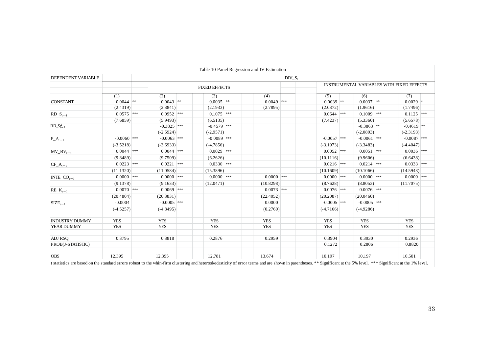| DEPENDENT VARIABLE    |               |               |                      |              | $DIV_S_t$ |               |               |                                           |
|-----------------------|---------------|---------------|----------------------|--------------|-----------|---------------|---------------|-------------------------------------------|
|                       |               |               | <b>FIXED EFFECTS</b> |              |           |               |               | INSTRUMENTAL VARIABLES WITH FIXED EFFECTS |
|                       | (1)           | (2)           | (3)                  | (4)          |           | (5)           | (6)           | (7)                                       |
| <b>CONSTANT</b>       | $0.0044$ **   | $0.0043$ **   | $0.0035$ **          | $0.0049$ *** |           | $0.0039$ **   | $0.0037$ **   | $0.0029$ *                                |
|                       | (2.4319)      | (2.3841)      | (2.1933)             | (2.7895)     |           | (2.0372)      | (1.9616)      | (1.7496)                                  |
| $RD\_S_{t-1}$         | $0.0575$ ***  | $0.0952$ ***  | $0.1075$ ***         |              |           | $0.0644$ ***  | $0.1009$ ***  | $0.1125$ ***                              |
|                       | (7.6859)      | (5.9493)      | (6.5135)             |              |           | (7.4237)      | (5.3360)      | (5.6578)                                  |
| $RD_{-}S_{t-1}^2$     |               | $-0.3825$ *** | $-0.4579$ ***        |              |           |               | $-0.3863$ **  | $-0.4619$ <sup>**</sup>                   |
|                       |               | $(-2.5924)$   | $(-2.9571)$          |              |           |               | $(-2.0893)$   | $(-2.3193)$                               |
| $F_A_{t-1}$           | $-0.0060$ *** | $-0.0063$ *** | $-0.0089$ ***        |              |           | $-0.0057$ *** | $-0.0061$ *** | $-0.0087$ ***                             |
|                       | $(-3.5218)$   | $(-3.6933)$   | $(-4.7856)$          |              |           | $(-3.1973)$   | $(-3.3483)$   | $(-4.4047)$                               |
| $MV_BV_{t-1}$         | $0.0044$ ***  | $0.0044$ ***  | $0.0029$ ***         |              |           | $0.0052$ ***  | $0.0051$ ***  | $0.0036$ ***                              |
|                       | (9.8489)      | (9.7509)      | (6.2626)             |              |           | (10.1116)     | (9.9606)      | (6.6438)                                  |
| $CF\_A_{t-1}$         | $0.0223$ ***  | $0.0221$ ***  | $0.0330$ ***         |              |           | $0.0216$ ***  | $0.0214$ ***  | $0.0333$ ***                              |
|                       | (11.1320)     | (11.0584)     | (15.3896)            |              |           | (10.1609)     | (10.1066)     | (14.5943)                                 |
| $INTE\_CO_{t-1}$      | $0.0000$ ***  | $0.0000$ ***  | $0.0000$ ***         | $0.0000$ *** |           | $0.0000$ ***  | $0.0000$ ***  | $0.0000$ ***                              |
|                       | (9.1378)      | (9.1633)      | (12.0471)            | (10.8298)    |           | (8.7628)      | (8.8053)      | (11.7075)                                 |
| $RE_{-}K_{t-1}$       | $0.0070$ ***  | $0.0069$ ***  |                      | $0.0073$ *** |           | $0.0076$ ***  | $0.0076$ ***  |                                           |
|                       | (20.4804)     | (20.3831)     |                      | (22.4052)    |           | (20.2087)     | (20.0460)     |                                           |
| $SIZE_{t-1}$          | $-0.0004$     | $-0.0005$ *** |                      | 0.0000       |           | $-0.0005$ *** | $-0.0005$ *** |                                           |
|                       | $(-4.5257)$   | $(-4.8495)$   |                      | (0.2760)     |           | $(-4.7166)$   | $(-4.9286)$   |                                           |
|                       |               |               |                      |              |           |               |               |                                           |
| <b>INDUSTRY DUMMY</b> | <b>YES</b>    | <b>YES</b>    | <b>YES</b>           | <b>YES</b>   |           | <b>YES</b>    | <b>YES</b>    | <b>YES</b>                                |
| YEAR DUMMY            | <b>YES</b>    | <b>YES</b>    | <b>YES</b>           | <b>YES</b>   |           | <b>YES</b>    | <b>YES</b>    | <b>YES</b>                                |
|                       |               |               |                      |              |           |               |               |                                           |
| <b>ADJ RSO</b>        | 0.3795        | 0.3818        | 0.2876               | 0.2959       |           | 0.3904        | 0.3930        | 0.2936                                    |
| PROB(J-STATISTIC)     |               |               |                      |              |           | 0.1272        | 0.2806        | 0.8820                                    |
|                       |               |               |                      |              |           |               |               |                                           |
| <b>OBS</b>            | 12,395        | 12,395        | 12,781               | 13,674       |           | 10,197        | 10,197        | 10,501                                    |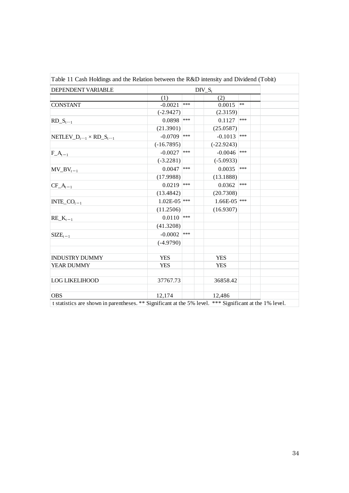| DEPENDENT VARIABLE                                                                                                    |                |       | $DIV_S_t$      |            |  |
|-----------------------------------------------------------------------------------------------------------------------|----------------|-------|----------------|------------|--|
|                                                                                                                       | (1)            |       | (2)            |            |  |
| <b>CONSTANT</b>                                                                                                       | $-0.0021$      | $***$ | 0.0015         | $\ast\ast$ |  |
|                                                                                                                       | $(-2.9427)$    |       | (2.3159)       |            |  |
| $RD_{-}S_{t-1}$                                                                                                       | 0.0898         | ***   | 0.1127         | ***        |  |
|                                                                                                                       | (21.3901)      |       | (25.0587)      |            |  |
| $NETLEV\_D_{t-1} \times RD\_S_{t-1}$                                                                                  | $-0.0709$ ***  |       | $-0.1013$      | $***$      |  |
|                                                                                                                       | $(-16.7895)$   |       | $(-22.9243)$   |            |  |
| $F_A_{t-1}$                                                                                                           | $-0.0027$      | $***$ | $-0.0046$      | $***$      |  |
|                                                                                                                       | $(-3.2281)$    |       | $(-5.0933)$    |            |  |
| $MV_BV_{t-1}$                                                                                                         | 0.0047         | ***   | 0.0035         | $***$      |  |
|                                                                                                                       | (17.9988)      |       | (13.1888)      |            |  |
| $CF\_A_{t-1}$                                                                                                         | 0.0219         | ***   | 0.0362         | $***$      |  |
|                                                                                                                       | (13.4842)      |       | (20.7308)      |            |  |
| $INTE\_CO_{t-1}$                                                                                                      | $1.02E-05$ *** |       | $1.66E-05$ *** |            |  |
|                                                                                                                       | (11.2506)      |       | (16.9307)      |            |  |
| $RE_K_{t-1}$                                                                                                          | 0.0110         | $***$ |                |            |  |
|                                                                                                                       | (41.3208)      |       |                |            |  |
| $SIZE_{t-1}$                                                                                                          | $-0.0002$      | $***$ |                |            |  |
|                                                                                                                       | $(-4.9790)$    |       |                |            |  |
|                                                                                                                       |                |       |                |            |  |
| <b>INDUSTRY DUMMY</b>                                                                                                 | <b>YES</b>     |       | <b>YES</b>     |            |  |
| YEAR DUMMY                                                                                                            | <b>YES</b>     |       | <b>YES</b>     |            |  |
|                                                                                                                       |                |       |                |            |  |
| <b>LOG LIKELIHOOD</b>                                                                                                 | 37767.73       |       | 36858.42       |            |  |
|                                                                                                                       |                |       |                |            |  |
| <b>OBS</b><br>t statistics are shown in parentheses. ** Significant at the 5% level. *** Significant at the 1% level. | 12,174         |       | 12,486         |            |  |
|                                                                                                                       |                |       |                |            |  |
|                                                                                                                       |                |       |                |            |  |